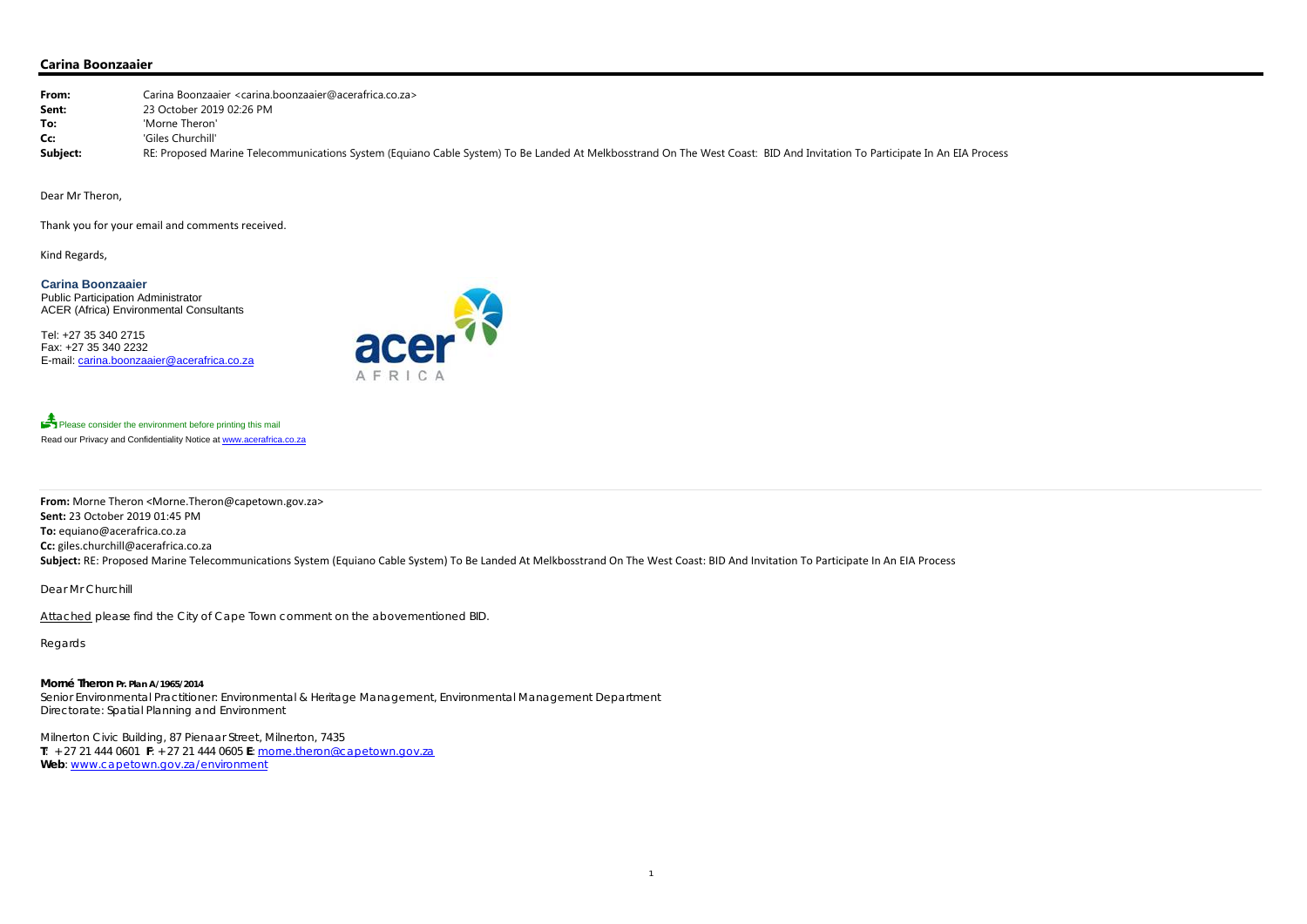## **Carina Boonzaaier**

| From:    | Carina Boonzaaier <carina.boonzaaier@acerafrica.co.za></carina.boonzaaier@acerafrica.co.za>                                                                               |
|----------|---------------------------------------------------------------------------------------------------------------------------------------------------------------------------|
| Sent:    | 23 October 2019 02:26 PM                                                                                                                                                  |
| To:      | 'Morne Theron'                                                                                                                                                            |
| Cc:      | 'Giles Churchill'                                                                                                                                                         |
| Subject: | RE: Proposed Marine Telecommunications System (Equiano Cable System) To Be Landed At Melkbosstrand On The West Coast: BID And Invitation To Participate In An EIA Process |

Dear Mr Theron,

**From:** Morne Theron <Morne.Theron@capetown.gov.za> **Sent:** 23 October 2019 01:45 PM **To:** equiano@acerafrica.co.za **Cc:** giles.churchill@acerafrica.co.za Subject: RE: Proposed Marine Telecommunications System (Equiano Cable System) To Be Landed At Melkbosstrand On The West Coast: BID And Invitation To Participate In An EIA Process

Thank you for your email and comments received.

Kind Regards,

**Carina Boonzaaier**  Public Participation Administrator ACER (Africa) Environmental Consultants

Tel: +27 35 340 2715 Fax: +27 35 340 2232 E-mail: carina.boonzaaier@acerafrica.co.za



Please consider the environment before printing this mail Read our Privacy and Confidentiality Notice at www.acerafrica.co.za

Dear Mr Churchill

Attached please find the City of Cape Town comment on the abovementioned BID.

Regards

**Morné Theron Pr. Plan A/1965/2014**Senior Environmental Practitioner: Environmental & Heritage Management, Environmental Management Department Directorate: Spatial Planning and Environment

Milnerton Civic Building, 87 Pienaar Street, Milnerton, 7435 **T**: + 27 21 444 0601 **F**: + 27 21 444 0605 **E**: morne.theron@capetown.gov.za **Web**: www.capetown.gov.za/environment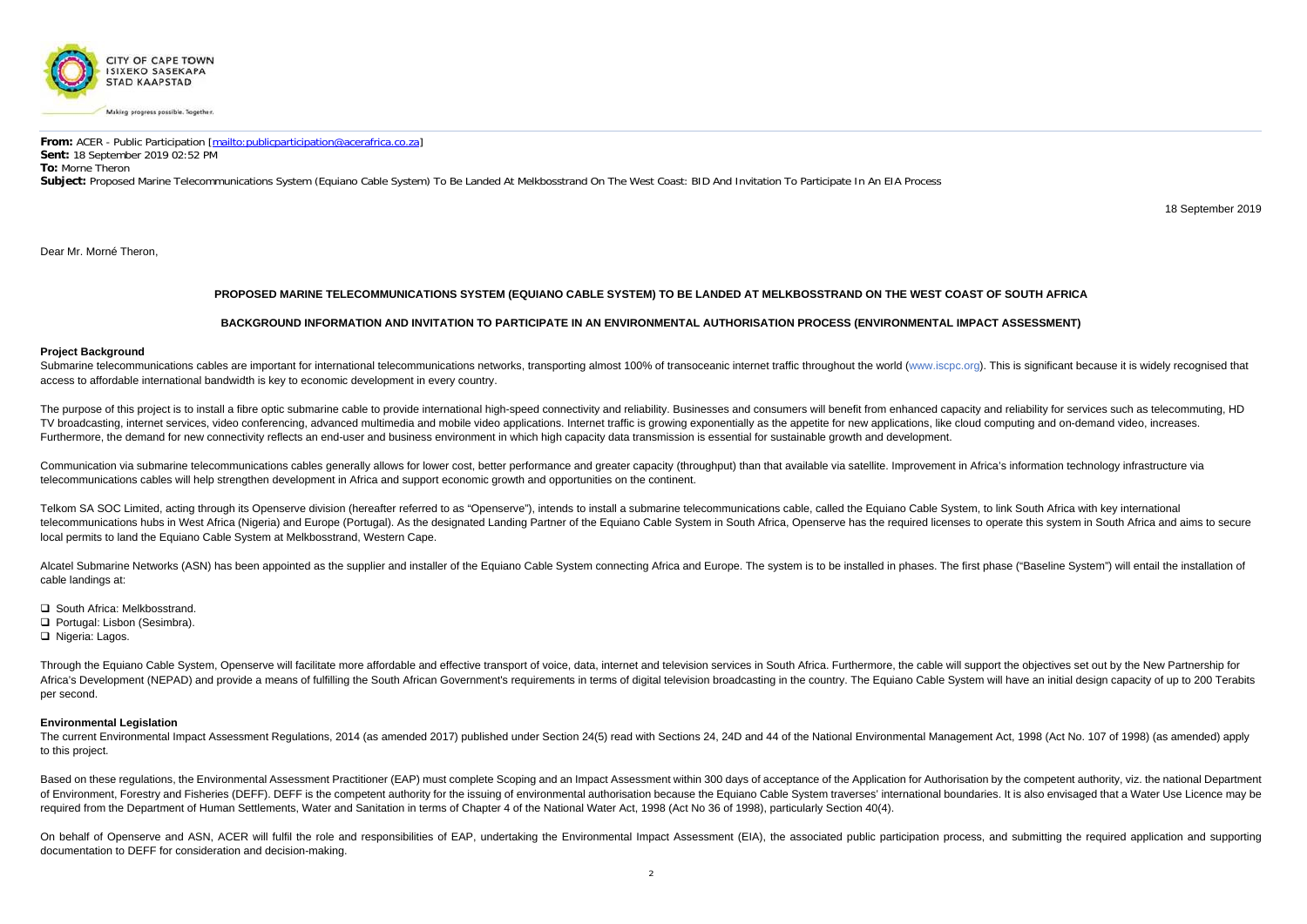

**From:** ACER - Public Participation [mailto:publicparticipation@acerafrica.co.za] **Sent:** 18 September 2019 02:52 PM **To:** Morne Theron **Subject:** Proposed Marine Telecommunications System (Equiano Cable System) To Be Landed At Melkbosstrand On The West Coast: BID And Invitation To Participate In An EIA Process

18 September 2019

Dear Mr. Morné Theron,

# **PROPOSED MARINE TELECOMMUNICATIONS SYSTEM (EQUIANO CABLE SYSTEM) TO BE LANDED AT MELKBOSSTRAND ON THE WEST COAST OF SOUTH AFRICA**

Submarine telecommunications cables are important for international telecommunications networks, transporting almost 100% of transoceanic internet traffic throughout the world (www.iscpc.org). This is significant because i access to affordable international bandwidth is key to economic development in every country.

# **BACKGROUND INFORMATION AND INVITATION TO PARTICIPATE IN AN ENVIRONMENTAL AUTHORISATION PROCESS (ENVIRONMENTAL IMPACT ASSESSMENT)**

#### **Project Background**

The purpose of this project is to install a fibre optic submarine cable to provide international high-speed connectivity and reliability. Businesses and consumers will benefit from enhanced capacity and reliability for ser TV broadcasting, internet services, video conferencing, advanced multimedia and mobile video applications. Internet traffic is growing exponentially as the appetite for new applications, like cloud computing and on-demand Furthermore, the demand for new connectivity reflects an end-user and business environment in which high capacity data transmission is essential for sustainable growth and development.

Communication via submarine telecommunications cables generally allows for lower cost, better performance and greater capacity (throughput) than that available via satellite. Improvement in Africa's information technology telecommunications cables will help strengthen development in Africa and support economic growth and opportunities on the continent.

Telkom SA SOC Limited, acting through its Openserve division (hereafter referred to as "Openserve"), intends to install a submarine telecommunications cable, called the Equiano Cable System, to link South Africa with key i telecommunications hubs in West Africa (Nigeria) and Europe (Portugal). As the designated Landing Partner of the Equiano Cable System in South Africa, Openserve has the required licenses to operate this system in South Afr local permits to land the Equiano Cable System at Melkbosstrand, Western Cape.

Alcatel Submarine Networks (ASN) has been appointed as the supplier and installer of the Equiano Cable System connecting Africa and Europe. The system is to be installed in phases. The first phase ("Baseline System") will cable landings at:

- **□ South Africa: Melkbosstrand.**
- Portugal: Lisbon (Sesimbra).
- □ Nigeria: Lagos.

Through the Equiano Cable System, Openserve will facilitate more affordable and effective transport of voice, data, internet and television services in South Africa. Furthermore, the cable will support the objectives set o Africa's Development (NEPAD) and provide a means of fulfilling the South African Government's requirements in terms of digital television broadcasting in the country. The Equiano Cable System will have an initial design ca per second.

The current Environmental Impact Assessment Regulations, 2014 (as amended 2017) published under Section 24(5) read with Sections 24, 24D and 44 of the National Environmental Management Act, 1998 (Act No. 107 of 1998) (as a to this project.

Based on these regulations, the Environmental Assessment Practitioner (EAP) must complete Scoping and an Impact Assessment within 300 days of acceptance of the Application for Authorisation by the competent authority, viz. of Environment, Forestry and Fisheries (DEFF). DEFF is the competent authority for the issuing of environmental authorisation because the Equiano Cable System traverses' international boundaries. It is also envisaged that required from the Department of Human Settlements, Water and Sanitation in terms of Chapter 4 of the National Water Act, 1998 (Act No 36 of 1998), particularly Section 40(4).

On behalf of Openserve and ASN, ACER will fulfil the role and responsibilities of EAP, undertaking the Environmental Impact Assessment (EIA), the associated public participation process, and submitting the required applica documentation to DEFF for consideration and decision-making.

### **Environmental Legislation**